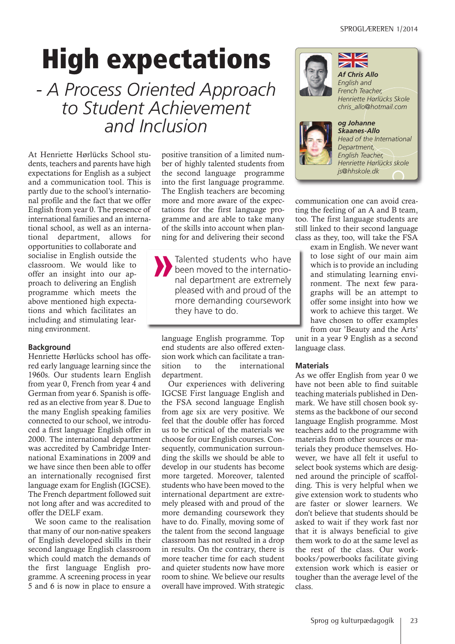# **High expectations**

*- A Process Oriented Approach to Student Achievement and Inclusion*

At Henriette Hørlücks School students, teachers and parents have high expectations for English as a subject and a communication tool. This is partly due to the school's international profile and the fact that we offer English from year 0. The presence of international families and an international school, as well as an international department, allows for

opportunities to collaborate and socialise in English outside the classroom. We would like to offer an insight into our approach to delivering an English programme which meets the above mentioned high expectations and which facilitates an including and stimulating learning environment.

# **Background**

Henriette Hørlücks school has offered early language learning since the 1960s. Our students learn English from year 0, French from year 4 and German from year 6. Spanish is offered as an elective from year 8. Due to the many English speaking families connected to our school, we introduced a first language English offer in 2000. The international department was accredited by Cambridge International Examinations in 2009 and we have since then been able to offer an internationally recognised first language exam for English (IGCSE). The French department followed suit not long after and was accredited to offer the DELF exam.

We soon came to the realisation that many of our non-native speakers of English developed skills in their second language English classroom which could match the demands of the first language English programme. A screening process in year 5 and 6 is now in place to ensure a positive transition of a limited number of highly talented students from the second language programme into the first language programme. The English teachers are becoming more and more aware of the expectations for the first language programme and are able to take many of the skills into account when planning for and delivering their second

Talented students who have been moved to the international department are extremely pleased with and proud of the more demanding coursework they have to do.

language English programme. Top end students are also offered extension work which can facilitate a transition to the international department.

Our experiences with delivering IGCSE First language English and the FSA second language English from age six are very positive. We feel that the double offer has forced us to be critical of the materials we choose for our English courses. Consequently, communication surrounding the skills we should be able to develop in our students has become more targeted. Moreover, talented students who have been moved to the international department are extremely pleased with and proud of the more demanding coursework they have to do. Finally, moving some of the talent from the second language classroom has not resulted in a drop in results. On the contrary, there is more teacher time for each student and quieter students now have more room to shine. We believe our results overall have improved. With strategic



*Skaanes-Allo Head of the International Department, English Teacher, Henriette Hørlücks skole js@hhskole.dk*

communication one can avoid creating the feeling of an A and B team, too. The first language students are still linked to their second language class as they, too, will take the FSA

> exam in English. We never want to lose sight of our main aim which is to provide an including and stimulating learning environment. The next few paragraphs will be an attempt to offer some insight into how we work to achieve this target. We have chosen to offer examples from our 'Beauty and the Arts'

unit in a year 9 English as a second language class.

#### **Materials**

As we offer English from year 0 we have not been able to find suitable teaching materials published in Denmark. We have still chosen book systems as the backbone of our second language English programme. Most teachers add to the programme with materials from other sources or materials they produce themselves. However, we have all felt it useful to select book systems which are designed around the principle of scaffolding. This is very helpful when we give extension work to students who are faster or slower learners. We don't believe that students should be asked to wait if they work fast nor that it is always beneficial to give them work to do at the same level as the rest of the class. Our workbooks/powerbooks facilitate giving extension work which is easier or tougher than the average level of the class.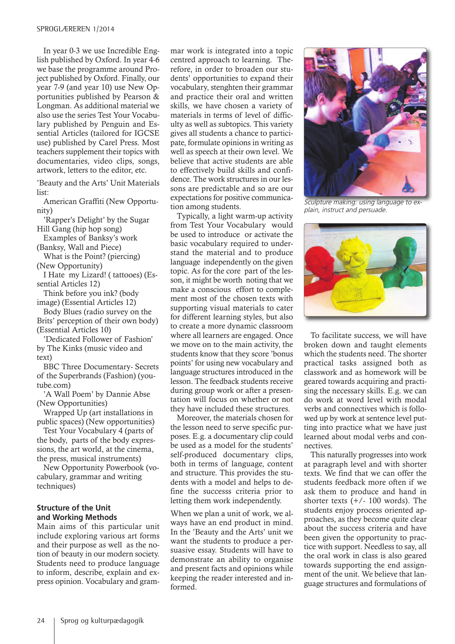In year 0-3 we use Incredible English published by Oxford. In year 4-6 we base the programme around Project published by Oxford. Finally, our year 7-9 (and year 10) use New Opportunities published by Pearson & Longman. As additional material we also use the series Test Your Vocabulary published by Penguin and Essential Articles (tailored for IGCSE use) published by Carel Press. Most teachers supplement their topics with documentaries, video clips, songs, artwork, letters to the editor, etc.

'Beauty and the Arts' Unit Materials list:

American Graffiti (New Opportunity)

'Rapper's Delight' by the Sugar Hill Gang (hip hop song)

Examples of Banksy's work (Banksy, Wall and Piece)

What is the Point? (piercing) (New Opportunity)

I Hate my Lizard! ( tattooes) (Essential Articles 12)

Think before you ink? (body image) (Essential Articles 12)

Body Blues (radio survey on the Brits' perception of their own body) (Essential Articles 10)

'Dedicated Follower of Fashion' by The Kinks (music video and text)

BBC Three Documentary- Secrets of the Superbrands (Fashion) (youtube.com)

'A Wall Poem' by Dannie Abse (New Opportunities)

Wrapped Up (art installations in public spaces) (New opportunities)

Test Your Vocabulary 4 (parts of the body, parts of the body expressions, the art world, at the cinema, the press, musical instruments)

New Opportunity Powerbook (vocabulary, grammar and writing techniques)

#### **Structure of the Unit and Working Methods**

Main aims of this particular unit include exploring various art forms and their purpose as well as the notion of beauty in our modern society. Students need to produce language to inform, describe, explain and express opinion. Vocabulary and grammar work is integrated into a topic centred approach to learning. Therefore, in order to broaden our students' opportunities to expand their vocabulary, stenghten their grammar and practice their oral and written skills, we have chosen a variety of materials in terms of level of difficulty as well as subtopics. This variety gives all students a chance to participate, formulate opinions in writing as well as speech at their own level. We believe that active students are able to effectively build skills and confidence. The work structures in our lessons are predictable and so are our expectations for positive communication among students.

Typically, a light warm-up activity from Test Your Vocabulary would be used to introduce or activate the basic vocabulary required to understand the material and to produce language independently on the given topic. As for the core part of the lesson, it might be worth noting that we make a conscious effort to complement most of the chosen texts with supporting visual materials to cater for different learning styles, but also to create a more dynamic classroom where all learners are engaged. Once we move on to the main activity, the students know that they score 'bonus points' for using new vocabulary and language structures introduced in the lesson. The feedback students receive during group work or after a presentation will focus on whether or not they have included these structures.

Moreover, the materials chosen for the lesson need to serve specific purposes. E.g. a documentary clip could be used as a model for the students' self-produced documentary clips, both in terms of language, content and structure. This provides the students with a model and helps to define the successs criteria prior to letting them work independently.

When we plan a unit of work, we always have an end product in mind. In the 'Beauty and the Arts' unit we want the students to produce a persuasive essay. Students will have to demonstrate an ability to organise and present facts and opinions while keeping the reader interested and informed.



Sculpture making: using language to explain, instruct and persuade.



To facilitate success, we will have broken down and taught elements which the students need. The shorter practical tasks assigned both as classwork and as homework will be geared towards acquiring and practising the necessary skills. E.g. we can do work at word level with modal verbs and connectives which is followed up by work at sentence level putting into practice what we have just learned about modal verbs and connectives.

This naturally progresses into work at paragraph level and with shorter texts. We find that we can offer the students feedback more often if we ask them to produce and hand in shorter texts  $(+/- 100$  words). The students enjoy process oriented approaches, as they become quite clear about the success criteria and have been given the opportunity to practice with support. Needless to say, all the oral work in class is also geared towards supporting the end assignment of the unit. We believe that language structures and formulations of